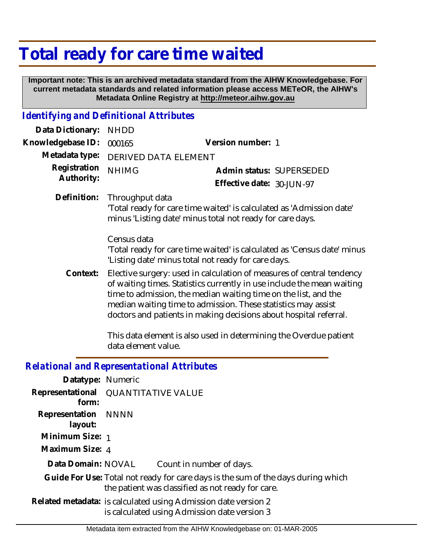## **Total ready for care time waited**

 **Important note: This is an archived metadata standard from the AIHW Knowledgebase. For current metadata standards and related information please access METeOR, the AIHW's Metadata Online Registry at http://meteor.aihw.gov.au**

## *Identifying and Definitional Attributes*

| Data Dictionary:                                  | <b>NHDD</b>                                                                                                                                                                                                                                                                                                                                                                                                                                          |                                                                                                                                       |
|---------------------------------------------------|------------------------------------------------------------------------------------------------------------------------------------------------------------------------------------------------------------------------------------------------------------------------------------------------------------------------------------------------------------------------------------------------------------------------------------------------------|---------------------------------------------------------------------------------------------------------------------------------------|
| Knowledgebase ID:                                 | 000165                                                                                                                                                                                                                                                                                                                                                                                                                                               | Version number: 1                                                                                                                     |
| Metadata type:                                    | DERIVED DATA ELEMENT                                                                                                                                                                                                                                                                                                                                                                                                                                 |                                                                                                                                       |
| Registration<br>Authority:                        | <b>NHIMG</b>                                                                                                                                                                                                                                                                                                                                                                                                                                         | Admin status: SUPERSEDED<br>Effective date: 30-JUN-97                                                                                 |
| Definition:                                       | Throughput data                                                                                                                                                                                                                                                                                                                                                                                                                                      | 'Total ready for care time waited' is calculated as 'Admission date'<br>minus 'Listing date' minus total not ready for care days.     |
|                                                   | Census data<br>'Total ready for care time waited' is calculated as 'Census date' minus<br>'Listing date' minus total not ready for care days.                                                                                                                                                                                                                                                                                                        |                                                                                                                                       |
| Context:                                          | Elective surgery: used in calculation of measures of central tendency<br>of waiting times. Statistics currently in use include the mean waiting<br>time to admission, the median waiting time on the list, and the<br>median waiting time to admission. These statistics may assist<br>doctors and patients in making decisions about hospital referral.<br>This data element is also used in determining the Overdue patient<br>data element value. |                                                                                                                                       |
| <b>Relational and Representational Attributes</b> |                                                                                                                                                                                                                                                                                                                                                                                                                                                      |                                                                                                                                       |
| Datatype: Numeric                                 |                                                                                                                                                                                                                                                                                                                                                                                                                                                      |                                                                                                                                       |
| Representational<br>form:                         | <b>QUANTITATIVE VALUE</b>                                                                                                                                                                                                                                                                                                                                                                                                                            |                                                                                                                                       |
| Representation<br>layout:                         | <b>NNNN</b>                                                                                                                                                                                                                                                                                                                                                                                                                                          |                                                                                                                                       |
| Minimum Size: 1                                   |                                                                                                                                                                                                                                                                                                                                                                                                                                                      |                                                                                                                                       |
| Maximum Size: 4                                   |                                                                                                                                                                                                                                                                                                                                                                                                                                                      |                                                                                                                                       |
| Data Domain: NOVAL                                |                                                                                                                                                                                                                                                                                                                                                                                                                                                      | Count in number of days.                                                                                                              |
|                                                   |                                                                                                                                                                                                                                                                                                                                                                                                                                                      | Guide For Use: Total not ready for care days is the sum of the days during which<br>the patient was classified as not ready for care. |

Related metadata: is calculated using Admission date version 2 is calculated using Admission date version 3